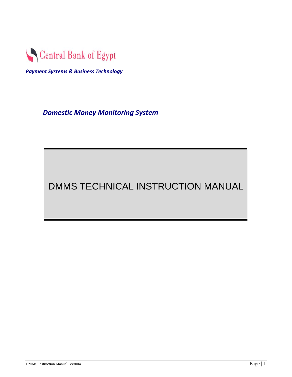<span id="page-0-0"></span>

*Payment Systems & Business Technology*

*Domestic Money Monitoring System*

# DMMS TECHNICAL INSTRUCTION MANUAL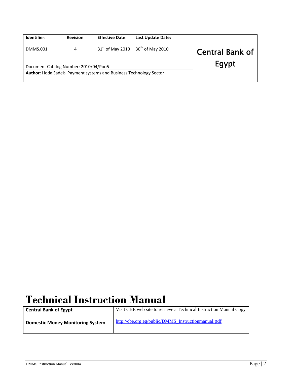| Identifier:                           | <b>Revision:</b> | <b>Effective Date:</b>                                             | <b>Last Update Date:</b> |                        |
|---------------------------------------|------------------|--------------------------------------------------------------------|--------------------------|------------------------|
| <b>DMMS.001</b>                       | 4                | $31st$ of May 2010                                                 | $30th$ of May 2010       | <b>Central Bank of</b> |
| Document Catalog Number: 2010/04/Poo5 |                  | Author: Hoda Sadek- Payment systems and Business Technology Sector |                          | Egypt                  |

# **Technical Instruction Manual**

**Central Bank of Egypt** Visit CBE web site to retrieve a Technical Instruction Manual Copy **Domestic Money Monitoring System [http://cbe.org.eg/public/DMMS\\_Instructionmanual.pdf](http://cbe.org.eg/public/DMMS_Instructionmanual.pdf)**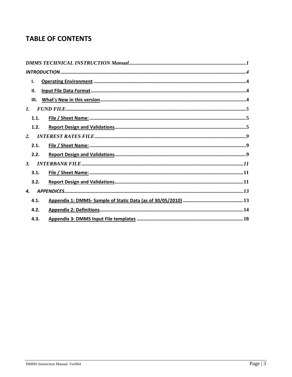# **TABLE OF CONTENTS**

| Ι.             |  |
|----------------|--|
| Ш.             |  |
| III.           |  |
| $\mathbf{I}$ . |  |
| 1.1.           |  |
| 1.2.           |  |
| 2.             |  |
| 2.1.           |  |
| 2.2.           |  |
| 3.             |  |
| 3.1.           |  |
| 3.2.           |  |
| 4.             |  |
| 4.1.           |  |
| 4.2.           |  |
| 4.3.           |  |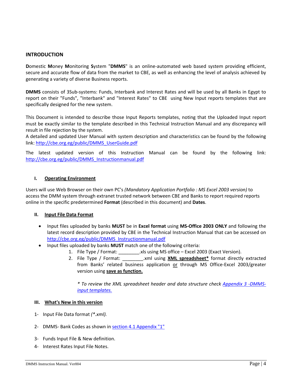#### <span id="page-3-0"></span>**INTRODUCTION**

**D**omestic **M**oney **M**onitoring **S**ystem "**DMMS**" is an online‐automated web based system providing efficient, secure and accurate flow of data from the market to CBE, as well as enhancing the level of analysis achieved by generating a variety of diverse Business reports.

**DMMS** consists of 3Sub‐systems: Funds, Interbank and Interest Rates and will be used by all Banks in Egypt to report on their "Funds", "Interbank" and "Interest Rates" to CBE using New Input reports templates that are specifically designed for the new system.

This Document is intended to describe those Input Reports templates, noting that the Uploaded Input report must be exactly similar to the template described in this Technical Instruction Manual and any discrepancy will result in file rejection by the system.

A detailed and updated User Manual with system description and characteristics can be found by the following link: [http://cbe.org.eg/public/DMMS\\_UserGuide.pdf](http://cbe.org.eg/public/DMMS_UserGuide.pdf)

The latest updated version of this Instruction Manual can be found by the following link: [http://cbe.org.eg/public/DMMS\\_Instructionmanual.pdf](http://cbe.org.eg/public/DMMS_Instructionmanual.pdf)

#### **I. Operating Environment**

Users will use Web Browser on their own PC's *(Mandatory Application Portfolio : MS Excel 2003 version)* to access the DMM system through extranet trusted network between CBE and Banks to report required reports online in the specific predetermined **Format** (described in this document) and **Dates**.

#### **II. Input File Data Format**

- Input files uploaded by banks **MUST** be in **Excel format** using **MS‐Office 2003 ONLY** and following the latest record description provided by CBE in the Technical Instruction Manual that can be accessed on [http://cbe.org.eg/public/DMMS\\_Instructionmanual.pdf](http://cbe.org.eg/public/DMMS_Instructionmanual.pdf)
- Input files uploaded by banks **MUST** match one of the following criteria:
	- 1. File Type / Format: . . . .xls using MS office Excel 2003 (Exact Version).
	- 2. File Type / Format: \_\_\_\_\_\_\_\_.xml using **XML spreadsheet\*** format directly extracted from Banks' related business application or through MS Office‐Excel 2003/greater version using **save as function.**

*\* To review the XML spreadsheet header and data structure check [Appendix](#page-17-0) 3 ‐DMMS‐ input [templates.](#page-17-0)*

#### **III. What's New in this version**

- 1‐ Input File Data format *(\*.xml).*
- 2‐ DMMS‐ Bank Codes as shown in section 4.1 [Appendix](#page-12-0) "1"
- 3‐ Funds Input File & New definition.
- 4‐ Interest Rates Input File Notes.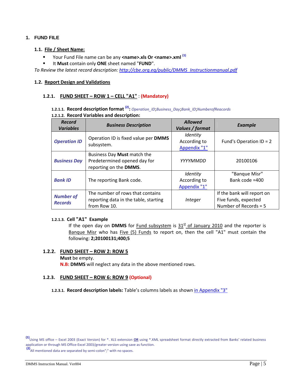#### <span id="page-4-0"></span>**1. FUND FILE**

#### **1.1. File / Sheet Name:**

- Your Fund File name can be any **<name>.xls Or <name>.xml (1)**
- It **Must** contain only **ONE** sheet named "**FUND**".

*To Review the latest record description: [http://cbe.org.eg/public/DMMS\\_Instructionmanual.pdf](http://cbe.org.eg/public/DMMS_Instructionmanual.pdf)*

#### **1.2. Report Design and Validations**

#### **1.2.1. FUND SHEET – ROW 1 – CELL "A1"** : **(Mandatory)**

# **1.2.1.1. Record description format (2):** *Operation\_ID*;*Business\_Day*;*Bank\_ID*;*NumberofReacords*

**1.2.1.2. Record Variables and description:**

| <b>Record</b><br><b>Variables</b>  | <b>Business Description</b>                                                               | <b>Allowed</b><br>Values / format        | <b>Example</b>                                                                |
|------------------------------------|-------------------------------------------------------------------------------------------|------------------------------------------|-------------------------------------------------------------------------------|
| <b>Operation ID</b>                | Operation ID is fixed value per DMMS<br>subsystem.                                        | Identity<br>According to<br>Appendix "1" | Fund's Operation $ID = 2$                                                     |
| <b>Business Day</b>                | Business Day Must match the<br>Predetermined opened day for<br>reporting on the DMMS.     | YYYYMMDD                                 | 20100106                                                                      |
| <b>Bank ID</b>                     | The reporting Bank code.                                                                  | Identity<br>According to<br>Appendix "1" | "Banque Misr"<br>Bank code =400                                               |
| <b>Number of</b><br><b>Records</b> | The number of rows that contains<br>reporting data in the table, starting<br>from Row 10. | Integer                                  | If the bank will report on<br>Five funds, expected<br>Number of Records = $5$ |

#### **1.2.1.3. Cell "A1" Example**

If the open day on **DMMS** for **Fund subsystem** is  $31<sup>st</sup>$  of January 2010 and the reporter is Banque Misr who has Five (5) Funds to report on, then the cell "A1" must contain the following: **2;20100131;400;5**

#### **1.2.2. FUND SHEET – ROW 2: ROW 5**

# **Must** be empty. **N.B: DMMS** will neglect any data in the above mentioned rows.

#### **1.2.3. FUND SHEET – ROW 6: ROW 9 (Optional)**

**1.2.3.1. Record description labels:** Table's columns labels as shown in [Appendix](#page-17-0) "3"

**(2)**All mentioned data are separated by semi‐colon";" with no spaces.

**<sup>(1)</sup>**Using MS office – Excel <sup>2003</sup> (Exact Version) for \*. XLS extension **OR** using \*.XML spreadsheet format directly extracted from Banks' related business application or through MS Office‐Excel 2003/greater version using save as function.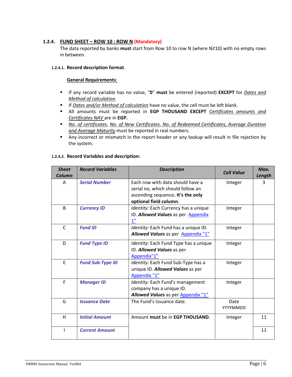#### **1.2.4. FUND SHEET – ROW 10 : ROW N (Mandatory)**

The data reported by banks **must** start from Row 10 to row N (where N≥10) with no empty rows in between.

#### **1.2.4.1. Record description format**.

#### **General Requirements**:

- If any record variable has no value, "**0**" **must** be entered (reported) **EXCEPT** for *Dates and Method of calculation*.
- If *Dates and/or Method of calculation* have no value, the cell must be left blank.
- All amounts must be reported in **EGP THOUSAND EXCEPT** *Certificates amounts and Certificates NAV* are in **EGP.**
- *No. of certificates*, *No. of New Certificates*, *No. of Redeemed Certificates, Average Duration and Average Maturity* must be reported in real numbers.
- Any incorrect or mismatch in the report header or any lookup will result in file rejection by the system.

#### **1.2.4.2. Record Variables and description:**

| <b>Sheet</b><br>Column | <b>Record Variables</b> | <b>Description</b>                                                                                                                   | <b>Cell Value</b> | Max.<br>Length |
|------------------------|-------------------------|--------------------------------------------------------------------------------------------------------------------------------------|-------------------|----------------|
| A                      | <b>Serial Number</b>    | Each row with data should have a<br>serial no, which should follow an<br>ascending sequence. It's the only<br>optional field column. | Integer           | 3              |
| <sub>B</sub>           | <b>Currency ID</b>      | Identity: Each Currency has a unique<br>ID. Allowed Values as per Appendix<br>$\mathbf{1}^{\mathrm{u}}$                              | Integer           |                |
| $\mathsf{C}$           | <b>Fund ID</b>          | Identity: Each Fund has a unique ID.<br>Allowed Values as per Appendix "1"                                                           | Integer           |                |
| D                      | <b>Fund Type ID</b>     | Identity: Each Fund Type has a unique<br>ID. Allowed Values as per<br>Appendix"1"                                                    | Integer           |                |
| F                      | <b>Fund Sub-Type ID</b> | Identity: Each Fund Sub-Type has a<br>unique ID. Allowed Values as per<br>Appendix "1"                                               | Integer           |                |
| F                      | <b>Manager ID</b>       | Identity: Each Fund's management<br>company has a unique ID.<br>Allowed Values as per Appendix "1"                                   | Integer           |                |
| G                      | <b>Issuance Date</b>    | The Fund's Issuance date.                                                                                                            | Date<br>YYYYMMDD  |                |
| H                      | <b>Initial Amount</b>   | Amount must be in EGP THOUSAND.                                                                                                      | Integer           | 11             |
| T                      | <b>Current Amount</b>   |                                                                                                                                      |                   | 11             |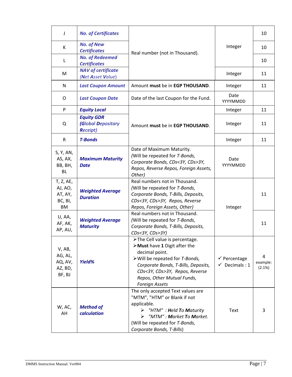| J                                                       | <b>No. of Certificates</b>                                        |                                                                                                                                                                                                                                                      |                                                     | 10                      |
|---------------------------------------------------------|-------------------------------------------------------------------|------------------------------------------------------------------------------------------------------------------------------------------------------------------------------------------------------------------------------------------------------|-----------------------------------------------------|-------------------------|
| К                                                       | <b>No. of New</b><br><b>Certificates</b>                          | Real number (not in Thousand).                                                                                                                                                                                                                       | Integer                                             | 10                      |
| L                                                       | <b>No. of Redeemed</b><br><b>Certificates</b>                     |                                                                                                                                                                                                                                                      |                                                     | 10                      |
| M                                                       | <b>NAV of certificate</b><br>(Net Asset Value)                    |                                                                                                                                                                                                                                                      | Integer                                             | 11                      |
| N                                                       | <b>Last Coupon Amount</b>                                         | Amount must be in EGP THOUSAND.                                                                                                                                                                                                                      | Integer                                             | 11                      |
| O                                                       | <b>Last Coupon Date</b>                                           | Date of the last Coupon for the Fund.                                                                                                                                                                                                                | Date<br>YYYYMMDD                                    |                         |
| P                                                       | <b>Equity Local</b>                                               |                                                                                                                                                                                                                                                      | Integer                                             | 11                      |
| Q                                                       | <b>Equity GDR</b><br><b>(Global Depositary</b><br><b>Receipt)</b> | Amount must be in EGP THOUSAND.                                                                                                                                                                                                                      | Integer                                             | 11                      |
| R                                                       | <b>T-Bonds</b>                                                    |                                                                                                                                                                                                                                                      | Integer                                             | 11                      |
| S, Y, AN,<br>AS, AX,<br>BB, BH,<br><b>BL</b>            | <b>Maximum Maturity</b><br><b>Date</b>                            | Date of Maximum Maturity.<br>(Will be repeated for T-Bonds,<br>Corporate Bonds, CDs<3Y, CDs>3Y,<br>Repos, Reverse Repos, Foreign Assets,<br>Other)                                                                                                   | Date<br>YYYYMMDD                                    |                         |
| T, Z, AE,<br>AJ, AO,<br>AT, AY,<br>BC, BI,<br><b>BM</b> | <b>Weighted Average</b><br><b>Duration</b>                        | Real numbers not in Thousand.<br>(Will be repeated for T-Bonds,<br>Corporate Bonds, T-Bills, Deposits,<br>CDs<3Y, CDs>3Y, Repos, Reverse<br>Repos, Foreign Assets, Other)                                                                            | Integer                                             | 11                      |
| U, AA,<br>AF, AK,<br>AP, AU,                            | <b>Weighted Average</b><br><b>Maturity</b>                        | Real numbers not in Thousand.<br>(Will be repeated for T-Bonds,<br>Corporate Bonds, T-Bills, Deposits,<br>CDs<3Y, CDs>3Y)                                                                                                                            |                                                     | 11                      |
| V, AB,<br>AG, AL,<br>AQ, AV,<br>AZ, BD,<br>BF, BJ       | Yield%                                                            | >The Cell value is percentage.<br>> Must have 1 Digit after the<br>decimal point.<br>> Will be repeated for T-Bonds,<br>Corporate Bonds, T-Bills, Deposits,<br>CDs<3Y, CDs>3Y, Repos, Reverse<br>Repos, Other Mutual Funds,<br><b>Foreign Assets</b> | $\checkmark$ Percentage<br>$\checkmark$ Decimals: 1 | 4<br>example:<br>(2.1%) |
| W, AC,<br>AH                                            | <b>Method of</b><br>calculation                                   | The only accepted Text values are<br>"MTM", "HTM" or Blank if not<br>applicable.<br>$\triangleright$ "HTM" : <b>H</b> eld <b>T</b> o <b>Maturity</b><br>"MTM": Market To Market.<br>(Will be repeated for T-Bonds,<br>Corporate Bonds, T-Bills)      | <b>Text</b>                                         | 3                       |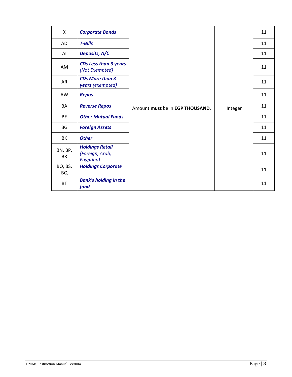| X                    | <b>Corporate Bonds</b>                                 |                                 |         |    | 11 |
|----------------------|--------------------------------------------------------|---------------------------------|---------|----|----|
| AD                   | <b>T-Bills</b>                                         |                                 | 11      |    |    |
| AI                   | Deposits, A/C                                          |                                 |         | 11 |    |
| AM                   | <b>CDs Less than 3 years</b><br>(Not Exempted)         |                                 | 11      |    |    |
| AR                   | <b>CDs More than 3</b><br>years (exempted)             |                                 |         | 11 |    |
| AW                   | <b>Repos</b>                                           |                                 |         | 11 |    |
| BA                   | <b>Reverse Repos</b>                                   | Amount must be in EGP THOUSAND. | Integer | 11 |    |
| <b>BE</b>            | <b>Other Mutual Funds</b>                              |                                 |         | 11 |    |
| BG                   | <b>Foreign Assets</b>                                  |                                 |         | 11 |    |
| BK                   | <b>Other</b>                                           |                                 |         | 11 |    |
| BN, BP,<br><b>BR</b> | <b>Holdings Retail</b><br>(Foreign, Arab,<br>Egyptian) |                                 |         | 11 |    |
| BO, BS,<br><b>BQ</b> | <b>Holdings Corporate</b>                              |                                 |         | 11 |    |
| <b>BT</b>            | <b>Bank's holding in the</b><br>fund                   |                                 |         | 11 |    |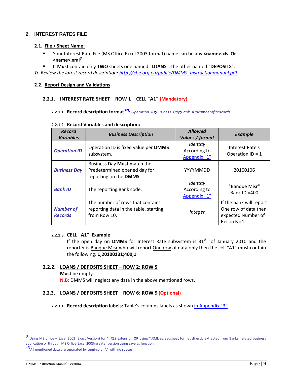### <span id="page-8-0"></span>**2. INTEREST RATES FILE**

#### **2.1. File / Sheet Name:**

 Your Interest Rate File (MS Office Excel 2003 format) name can be any **<name>.xls Or <name>.xml(1)**

 It **Must** contain only **TWO** sheets one named "**LOANS**", the other named "**DEPOSITS**". *To Review the latest record description: [http://cbe.org.eg/public/DMMS\\_Instructionmanual.pdf](http://cbe.org.eg/public/DMMS_Instructionmanual.pdf)*

#### **2.2. Report Design and Validations**

#### **2.2.1. INTEREST RATE SHEET – ROW 1 – CELL "A1" (Mandatory)**

#### **2.2.1.1. Record description format (2):** *Operation\_ID*;*Business\_Day*;*Bank\_ID*;*NumberofReacords*

| <b>Record</b><br><b>Variables</b>  | <b>Business Description</b>                                                               | <b>Allowed</b><br>Values / format        | <b>Example</b>                                                                         |
|------------------------------------|-------------------------------------------------------------------------------------------|------------------------------------------|----------------------------------------------------------------------------------------|
| <b>Operation ID</b>                | Operation ID is fixed value per DMMS<br>subsystem.                                        | Identity<br>According to<br>Appendix "1" | Interest Rate's<br>Operation $ID = 1$                                                  |
| <b>Business Day</b>                | Business Day Must match the<br>Predetermined opened day for<br>reporting on the DMMS.     | YYYYMMDD                                 | 20100106                                                                               |
| <b>Bank ID</b>                     | The reporting Bank code.                                                                  | Identity<br>According to<br>Appendix "1" | "Banque Misr"<br>Bank ID $=400$                                                        |
| <b>Number of</b><br><b>Records</b> | The number of rows that contains<br>reporting data in the table, starting<br>from Row 10. | Integer                                  | If the bank will report<br>One row of data then<br>expected Number of<br>$Records = 1$ |

#### **2.2.1.2. Record Variables and description:**

#### **2.2.1.3. CELL "A1" Example**

If the open day on **DMMS** for Interest Rate subsystem is  $31<sup>st</sup>$  of January 2010 and the reporter is Banque Misr who will report One row of data only then the cell "A1" must contain the following: **1;20100131;400;1**

## **2.2.2. LOANS / DEPOSITS SHEET – ROW 2: ROW 5**

#### **Must** be empty.

**N.B:** DMMS will neglect any data in the above mentioned rows.

#### **2.2.3. LOANS / DEPOSITS SHEET – ROW 6: ROW 9 (Optional)**

**2.2.3.1. Record description labels:** Table's columns labels as shown in [Appendix](#page-17-0) "3"

**(2)**All mentioned data are separated by semi‐colon";" with no spaces.

**<sup>(1)</sup>**Using MS office – Excel <sup>2003</sup> (Exact Version) for \*. XLS extension **OR** using \*.XML spreadsheet format directly extracted from Banks' related business application or through MS Office‐Excel 2003/greater version using save as function.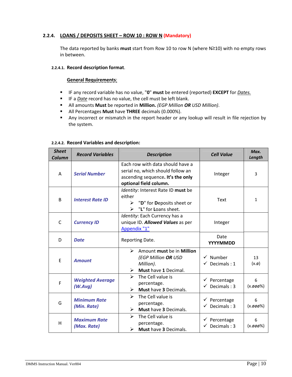## **2.2.4. LOANS / DEPOSITS SHEET – ROW 10 : ROW N (Mandatory)**

The data reported by banks **must** start from Row 10 to row N (where N≥10) with no empty rows in between.

#### **2.2.4.1. Record description format**.

#### **General Requirements**:

- IF any record variable has no value, "**0**" **must** be entered (reported) **EXCEPT** for *Dates.*
- IF a *Date* record has no value, the cell must be left blank.
- All amounts **Must** be reported in **Million.** *(EGP Million OR USD Million)*.
- All Percentages **Must** have **THREE** decimals (0.000%).
- Any incorrect or mismatch in the report header or any lookup will result in file rejection by the system.

#### **2.2.4.2. Record Variables and description:**

| <b>Sheet</b><br>Column | <b>Record Variables</b>            | <b>Description</b>                                                                                                                   | <b>Cell Value</b>                                   | Max.<br>Length   |
|------------------------|------------------------------------|--------------------------------------------------------------------------------------------------------------------------------------|-----------------------------------------------------|------------------|
| A                      | <b>Serial Number</b>               | Fach row with data should have a<br>serial no, which should follow an<br>ascending sequence. It's the only<br>optional field column. | Integer                                             | 3                |
| B                      | <b>Interest Rate ID</b>            | Identity: Interest Rate ID must be<br>either<br>$\triangleright$ "D" for Deposits sheet or<br>"L" for Loans sheet.<br>➤              | <b>Text</b>                                         | 1                |
| C                      | <b>Currency ID</b>                 | Identity: Each Currency has a<br>unique ID. Allowed Values as per<br>Appendix "1"                                                    | Integer                                             |                  |
| D                      | <b>Date</b>                        | Reporting Date.                                                                                                                      | Date<br>YYYYMMDD                                    |                  |
| E                      | <b>Amount</b>                      | Amount must be in Million<br>➤<br>(EGP Million OR USD<br>Million).<br>Must have 1 Decimal.<br>➤                                      | $\checkmark$ Number<br>Decimals: 1<br>✓             | 13<br>$(x.\phi)$ |
| F                      | <b>Weighted Average</b><br>(W.Avq) | $\blacktriangleright$<br>The Cell value is<br>percentage.<br>Must have 3 Decimals.<br>➤                                              | $\checkmark$ Percentage<br>$\checkmark$ Decimals: 3 | 6<br>$(x.000\%)$ |
| G                      | <b>Minimum Rate</b><br>(Min. Rate) | $\blacktriangleright$<br>The Cell value is<br>percentage.<br>Must have 3 Decimals.<br>➤                                              | $\checkmark$ Percentage<br>$\checkmark$ Decimals: 3 | 6<br>$(x.000\%)$ |
| H                      | <b>Maximum Rate</b><br>(Max. Rate) | $\blacktriangleright$<br>The Cell value is<br>percentage.<br>Must have 3 Decimals.<br>➤                                              | $\checkmark$ Percentage<br>Decimals: 3              | 6<br>$(x.000\%)$ |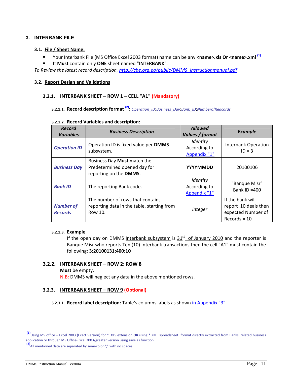#### <span id="page-10-0"></span>**3. INTERBANK FILE**

#### **3.1. File / Sheet Name:**

- Your Interbank File (MS Office Excel 2003 format) name can be any <name>.xls Or <name>.xml <sup>(1)</sup>
- It **Must** contain only **ONE** sheet named "**INTERBANK**".

*To Review the latest record description, [http://cbe.org.eg/public/DMMS\\_Instructionmanual.pdf](http://cbe.org.eg/public/DMMS_Instructionmanual.pdf)*

#### **3.2. Report Design and Validations**

#### **3.2.1. INTERBANK SHEET – ROW 1 – CELL "A1" (Mandatory)**

## **3.2.1.1. Record description format (2):** *Operation\_ID*;*Business\_Day*;*Bank\_ID*;*NumberofReacords*

#### **3.2.1.2. Record Variables and description:**

| <b>Record</b><br><b>Variables</b>  | <b>Business Description</b>                                                               | <b>Allowed</b><br>Values / format        | <b>Example</b>                                                                   |
|------------------------------------|-------------------------------------------------------------------------------------------|------------------------------------------|----------------------------------------------------------------------------------|
| <b>Operation ID</b>                | Operation ID is fixed value per DMMS<br>subsystem.                                        | Identity<br>According to<br>Appendix "1" | <b>Interbank Operation</b><br>$ID = 3$                                           |
| <b>Business Day</b>                | Business Day Must match the<br>Predetermined opened day for<br>reporting on the DMMS.     | <b>YYYYMMDD</b>                          | 20100106                                                                         |
| <b>Bank ID</b>                     | The reporting Bank code.                                                                  | Identity<br>According to<br>Appendix "1" | "Banque Misr"<br>Bank ID $=400$                                                  |
| <b>Number of</b><br><b>Records</b> | The number of rows that contains<br>reporting data in the table, starting from<br>Row 10. | <i>Integer</i>                           | If the bank will<br>report 10 deals then<br>expected Number of<br>$Records = 10$ |

#### **3.2.1.3. Example**

If the open day on DMMS Interbank subsystem is  $31<sup>st</sup>$  of January 2010 and the reporter is Banque Misr who reports Ten (10) Interbank transactions then the cell "A1" must contain the following: **3;20100131;400;10**

#### **3.2.2. INTERBANK SHEET – ROW 2: ROW 8**

#### **Must** be empty.

N.B: DMMS will neglect any data in the above mentioned rows.

#### **3.2.3. INTERBANK SHEET – ROW 9 (Optional)**

**3.2.3.1. Record label description:** Table's columns labels as shown in [Appendix](#page-17-0) "3"

**(2)**All mentioned data are separated by semi‐colon";" with no spaces.

**<sup>(1)</sup>**Using MS office – Excel <sup>2003</sup> (Exact Version) for \*. XLS extension **OR** using \*.XML spreadsheet format directly extracted from Banks' related business application or through MS Office‐Excel 2003/greater version using save as function.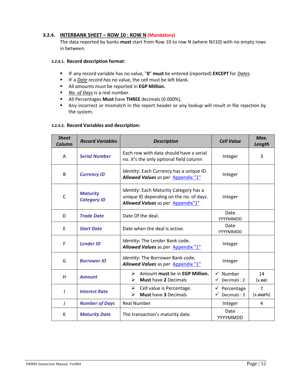#### **3.2.4. INTERBANK SHEET – ROW 10 : ROW N (Mandatory)**

The data reported by banks **must** start from Row 10 to row N (where N≥10) with no empty rows in between.

#### **3.2.4.1. Record description format**:

- IF any record variable has no value, "**0**" **must** be entered (reported) **EXCEPT** for *Dates*.
- IF a *Date record has* no value, the cell must be left blank.
- All amounts must be reported in **EGP Million.**
- *No. of Days* is a real number.
- All Percentages **Must** have **THREE** decimals (0.000%).
- Any incorrect or mismatch in the report header or any lookup will result in file rejection by the system.

#### **3.2.4.2. Record Variables and description:**

| <b>Sheet</b><br>Column | <b>Record Variables</b>               | <b>Description</b>                                                                                                     | <b>Cell Value</b>                                   | Max.<br>Length                |
|------------------------|---------------------------------------|------------------------------------------------------------------------------------------------------------------------|-----------------------------------------------------|-------------------------------|
| A                      | <b>Serial Number</b>                  | Each row with data should have a serial<br>no. It's the only optional field column                                     | Integer                                             | 3                             |
| B                      | <b>Currency ID</b>                    | Identity: Each Currency has a unique ID.<br>Allowed Values as per Appendix "1"                                         | Integer                                             |                               |
| $\mathsf{C}$           | <b>Maturity</b><br><b>Category ID</b> | Identity: Each Maturity Category has a<br>unique ID depending on the no. of days.<br>Allowed Values as per Appendix"1" | Integer                                             |                               |
| D                      | <b>Trade Date</b>                     | Date Of the deal.                                                                                                      | Date<br>YYYYMMDD                                    |                               |
| E                      | <b>Start Date</b>                     | Date when the deal is active.                                                                                          | Date<br>YYYYMMDD                                    |                               |
| F                      | <b>Lender ID</b>                      | Identity: The Lender Bank code.<br>Allowed Values as per Appendix "1"                                                  | Integer                                             |                               |
| G                      | <b>Borrower ID</b>                    | Identity: The Borrower Bank code.<br>Allowed Values as per Appendix "1"                                                | Integer                                             |                               |
| H                      | <b>Amount</b>                         | $\triangleright$ Amount must be in EGP Million.<br><b>Must have 2 Decimals</b><br>➤                                    | $\checkmark$ Number<br>$\checkmark$ Decimals: 2     | 14<br>$(x.\phi\phi)$          |
| ı                      | <b>Interest Rate</b>                  | Cell value is Percentage.<br>➤<br><b>Must have 3 Decimals</b><br>➤                                                     | $\checkmark$ Percentage<br>$\checkmark$ Decimals: 3 | $\overline{7}$<br>$(x.000\%)$ |
| J                      | <b>Number of Days</b>                 | <b>Real Number</b>                                                                                                     | Integer                                             | 4                             |
| К                      | <b>Maturity Date</b>                  | The transaction's maturity date.                                                                                       | Date<br>YYYYMMDD                                    |                               |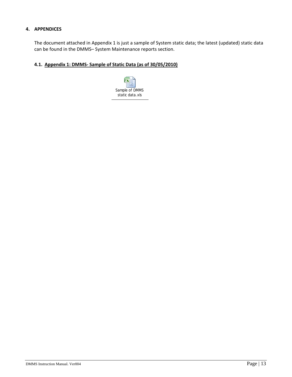#### <span id="page-12-0"></span>**4. APPENDICES**

The document attached in Appendix 1 is just a sample of System static data; the latest (updated) static data can be found in the DMMS– System Maintenance reports section.

#### **4.1. Appendix 1: DMMS‐ Sample of Static Data (as of 30/05/2010)**

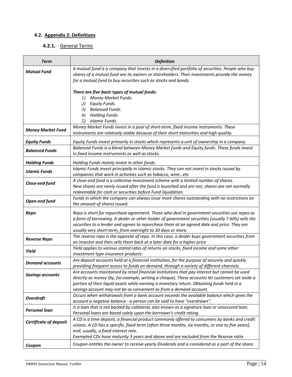# <span id="page-13-0"></span>**4.2. Appendix 2: Definitions**

# **4.2.1.** General Terms

| <b>Term</b>                   | <b>Definition</b>                                                                                                                                                                                                                                                |
|-------------------------------|------------------------------------------------------------------------------------------------------------------------------------------------------------------------------------------------------------------------------------------------------------------|
| <b>Mutual Fund</b>            | A mutual fund is a company that invests in a diversified portfolio of securities. People who buy<br>shares of a mutual fund are its owners or shareholders. Their investments provide the money<br>for a mutual fund to buy securities such as stocks and bonds. |
|                               | There are five basic types of mutual funds:                                                                                                                                                                                                                      |
|                               | Money Market Funds.<br>I)                                                                                                                                                                                                                                        |
|                               | 2)<br>Equity Funds.                                                                                                                                                                                                                                              |
|                               | 3) Balanced Funds.                                                                                                                                                                                                                                               |
|                               | <b>Holding Funds.</b><br>4)<br>5)<br>Islamic Funds.                                                                                                                                                                                                              |
|                               | Money Market Funds invest in a pool of short-term, fixed income instruments. These                                                                                                                                                                               |
| <b>Money Market Fund</b>      | instruments are relatively stable because of their short maturities and high quality.                                                                                                                                                                            |
| <b>Equity Funds</b>           | Equity Funds invest primarily in stocks which represents a unit of ownership in a company.                                                                                                                                                                       |
| <b>Balanced Funds</b>         | Balanced Funds is a blend between Money Market funds and Equity funds. These funds invest<br>in fixed income instruments as well as stocks.                                                                                                                      |
| <b>Holding Funds</b>          | Holding Funds mainly invest in other funds.                                                                                                                                                                                                                      |
| <b>Islamic Funds</b>          | Islamic Funds invest principally in Islamic stocks. They can not invest in stocks issued by                                                                                                                                                                      |
|                               | companies that work in activities such as tobacco, wineetc                                                                                                                                                                                                       |
| Close-end fund                | A close-end fund is a collective investment scheme with a limited number of shares.                                                                                                                                                                              |
|                               | New shares are rarely issued after the fund is launched and are not; shares are not normally<br>redeemable for cash or securities before Fund liquidation.                                                                                                       |
|                               | Funds in which the company can always issue more shares outstanding with no restrictions on                                                                                                                                                                      |
| Open-end fund                 | the amount of shares issued.                                                                                                                                                                                                                                     |
| Repo                          | Repo is short for repurchase agreement. Those who deal in government securities use repos as                                                                                                                                                                     |
|                               | a form of borrowing. A dealer or other holder of government securities (usually T-bills) sells the                                                                                                                                                               |
|                               | securities to a lender and agrees to repurchase them at an agreed date and price. They are                                                                                                                                                                       |
|                               | usually very short-term, from overnight to 30 days or more.                                                                                                                                                                                                      |
| <b>Reverse Repo</b>           | The reverse repo is the opposite of repo. In this case, a dealer buys government securities from<br>an investor and then sells them back at a later date for a higher price                                                                                      |
|                               | Yield applies to various stated rates of returns on stocks, fixed income and some other                                                                                                                                                                          |
| Yield                         | investment type insurance products.                                                                                                                                                                                                                              |
| <b>Demand accounts</b>        | Are deposit accounts held at a financial institution, for the purpose of securely and quickly                                                                                                                                                                    |
|                               | providing frequent access to funds on demand, through a variety of different channels.                                                                                                                                                                           |
| <b>Savings accounts</b>       | Are accounts maintained by retail financial institutions that pay interest but cannot be used                                                                                                                                                                    |
|                               | directly as money (by, for example, writing a cheque). These accounts let customers set aside a<br>portion of their liquid assets while earning a monetary return. Obtaining funds held in a                                                                     |
|                               | savings account may not be as convenient as from a demand account.                                                                                                                                                                                               |
|                               | Occurs when withdrawals from a bank account exceeds the available balance which gives the                                                                                                                                                                        |
| <b>Overdraft</b>              | account a negative balance - a person can be said to have "overdrawn".                                                                                                                                                                                           |
| <b>Personal loan</b>          | Is a loan that is not backed by collateral, also known as a signature loan or unsecured loan.                                                                                                                                                                    |
|                               | Personal loans are based solely upon the borrower's credit rating.                                                                                                                                                                                               |
| <b>Certificate of deposit</b> | A CD is a time deposit, a financial product commonly offered to consumers by banks and credit                                                                                                                                                                    |
|                               | unions. A CD has a specific, fixed term (often three months, six months, or one to five years),<br>and, usually, a fixed interest rate.                                                                                                                          |
|                               | Exempted CDs have maturity 3 years and above and are excluded from the Reserve ratio.                                                                                                                                                                            |
| Coupon                        | Coupon entitles the owner to receive yearly Dividends and is considered as a part of the share.                                                                                                                                                                  |
|                               |                                                                                                                                                                                                                                                                  |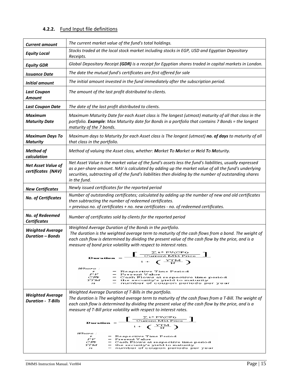# **4.2.2.** Fund Input file definitions

| <b>Current amount</b>                                | The current market value of the fund's total holdings.                                                                                                                                                                                                                                                                                     |  |  |
|------------------------------------------------------|--------------------------------------------------------------------------------------------------------------------------------------------------------------------------------------------------------------------------------------------------------------------------------------------------------------------------------------------|--|--|
| <b>Equity Local</b>                                  | Stocks traded at the local stock market including stocks in EGP, USD and Egyptian Depositary<br>Receipts.                                                                                                                                                                                                                                  |  |  |
| <b>Equity GDR</b>                                    | Global Depositary Receipt (GDR) is a receipt for Egyptian shares traded in capital markets in London.                                                                                                                                                                                                                                      |  |  |
| Issuance Date                                        | The date the mutual fund's certificates are first offered for sale                                                                                                                                                                                                                                                                         |  |  |
| Initial amount                                       | The initial amount invested in the fund immediately after the subscription period.                                                                                                                                                                                                                                                         |  |  |
| <b>Last Coupon</b><br><b>Amount</b>                  | The amount of the last profit distributed to clients.                                                                                                                                                                                                                                                                                      |  |  |
| <b>Last Coupon Date</b>                              | The date of the last profit distributed to clients.                                                                                                                                                                                                                                                                                        |  |  |
| Maximum<br><b>Maturity Date</b>                      | Maximum Maturity Date for each Asset class is The longest (utmost) maturity of all that class in the<br>portfolio. Example: Max Maturity date for Bonds in a portfolio that contains 7 Bonds = the longest<br>maturity of the 7 bonds.                                                                                                     |  |  |
| <b>Maximum Days To</b><br><b>Maturity</b>            | Maximum days to Maturity for each Asset class is The longest (utmost) no. of days to maturity of all<br>that class in the portfolio.                                                                                                                                                                                                       |  |  |
| <b>Method of</b><br>calculation                      | Method of valuing the Asset class, whether: Market To Market or Held To Maturity.                                                                                                                                                                                                                                                          |  |  |
| <b>Net Asset Value of</b><br>certificates (NAV)      | Net Asset Value is the market value of the fund's assets less the fund's liabilities, usually expressed<br>as a per-share amount. NAV is calculated by adding up the market value of all the fund's underlying<br>securities, subtracting all of the fund's liabilities then dividing by the number of outstanding shares<br>in the fund.  |  |  |
| <b>New Certificates</b>                              | Newly issued certificates for the reported period                                                                                                                                                                                                                                                                                          |  |  |
| No. of Certificates                                  | Number of outstanding certificates; calculated by adding up the number of new and old certificates<br>then subtracting the number of redeemed certificates.<br>= previous no. of certificates + no. new certificates - no. of redeemed certificates.                                                                                       |  |  |
| No. of Redeemed<br><b>Certificates</b>               | Number of certificates sold by clients for the reported period                                                                                                                                                                                                                                                                             |  |  |
| <b>Weighted Average</b><br><b>Duration - Bonds</b>   | Weighted Average Duration of the Bonds in the portfolio.<br>The duration is the weighted average term to maturity of the cash flows from a bond. The weight of<br>each cash flow is determined by dividing the present value of the cash flow by the price, and is a<br>measure of bond price volatility with respect to interest rates.   |  |  |
|                                                      | ∑t* PV(CFt)<br>Current Mkt Price<br><b>Duration</b> =<br>$1 + (\frac{YTM}{N})$                                                                                                                                                                                                                                                             |  |  |
|                                                      | Where :<br>= Respective Time Period<br>$\mathbf{f}$<br>$_{PV}$<br>$=$ Present Value<br>C.Fr<br>$=$ Cash Flows at respective time period<br>YTM<br>$=$ the security's yield to maturity<br>$=$ number of coupon periods per year $\,$<br>22                                                                                                 |  |  |
| <b>Weighted Average</b><br><b>Duration - T-Bills</b> | Weighted Average Duration of T-Bills in the portfolio.<br>The duration is The weighted average term to maturity of the cash flows from a T-Bill. The weight of<br>each cash flow is determined by dividing the present value of the cash flow by the price, and is a<br>measure of T-Bill price volatility with respect to interest rates. |  |  |
|                                                      | $\left[\frac{\sum t^* \text{PVCFt})}{\text{Current MkFrice}}\right]$<br>Duration<br>$1 + (\frac{YTM}{N})$                                                                                                                                                                                                                                  |  |  |
|                                                      | Where :<br>= Respective Time Period<br>$\mathbf{r}$<br>$_{PV}$<br>= Present Value<br>C.Fr<br>$=$ Cash Flows at respective time period<br>YTM<br>$=$ the security's yield to maturity<br>= number of coupon periods per year<br>$22 -$                                                                                                      |  |  |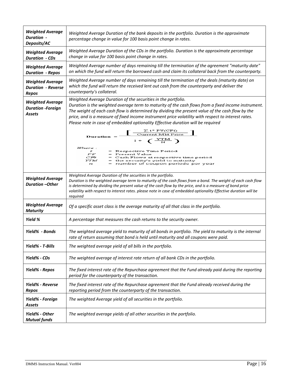| <b>Weighted Average</b><br><b>Duration -</b><br>Deposits/AC          | Weighted Average Duration of the bank deposits in the portfolio. Duration is the approximate<br>percentage change in value for 100 basis point change in rates.                                                                                                                                                                                                                                                                                                                                                                              |
|----------------------------------------------------------------------|----------------------------------------------------------------------------------------------------------------------------------------------------------------------------------------------------------------------------------------------------------------------------------------------------------------------------------------------------------------------------------------------------------------------------------------------------------------------------------------------------------------------------------------------|
| <b>Weighted Average</b><br><b>Duration - CDs</b>                     | Weighted Average Duration of the CDs in the portfolio. Duration is the approximate percentage<br>change in value for 100 basis point change in rates.                                                                                                                                                                                                                                                                                                                                                                                        |
| <b>Weighted Average</b><br><b>Duration - Repos</b>                   | Weighted Average number of days remaining till the termination of the agreement "maturity date"<br>on which the fund will return the borrowed cash and claim its collateral back from the counterparty.                                                                                                                                                                                                                                                                                                                                      |
| <b>Weighted Average</b><br><b>Duration - Reverse</b><br><b>Repos</b> | Weighted Average number of days remaining till the termination of the deals (maturity date) on<br>which the fund will return the received lent out cash from the counterparty and deliver the<br>counterparty's collateral.                                                                                                                                                                                                                                                                                                                  |
| <b>Weighted Average</b><br><b>Duration -Foreign</b><br>Assets        | Weighted Average Duration of the securities in the portfolio.<br>Duration is the weighted average term to maturity of the cash flows from a fixed income instrument.<br>The weight of each cash flow is determined by dividing the present value of the cash flow by the<br>price, and is a measure of fixed income instrument price volatility with respect to interest rates.<br>Please note in case of embedded optionality Effective duration will be required<br>$\left[\frac{\sum t^* \text{PV(CFt)}}{\text{Current Mk Price}}\right]$ |
|                                                                      | Duration<br>$1 + \left( \frac{YTM}{N} \right)$<br>Where :<br>= Respective Time Period<br>$\mathbf{r}$<br>₽₽<br>= Present Value<br>C'Fr<br>Cash Flows at respective time period<br>YTM<br>the security's yield to maturity<br>number of coupon periods per year<br>$\overline{1}$                                                                                                                                                                                                                                                             |
| <b>Weighted Average</b><br><b>Duration -Other</b>                    | Weighted Average Duration of the securities in the portfolio.<br>Duration is the weighted average term to maturity of the cash flows from a bond. The weight of each cash flow<br>is determined by dividing the present value of the cash flow by the price, and is a measure of bond price<br>volatility with respect to interest rates. please note in case of embedded optionality Effective duration will be<br>required                                                                                                                 |
| <b>Weighted Average</b><br><b>Maturity</b>                           | Of a specific asset class is the average maturity of all that class in the portfolio.                                                                                                                                                                                                                                                                                                                                                                                                                                                        |
| Yield %                                                              | A percentage that measures the cash returns to the security owner.                                                                                                                                                                                                                                                                                                                                                                                                                                                                           |
| Yield% - Bonds                                                       | The weighted average yield to maturity of all bonds in portfolio. The yield to maturity is the internal<br>rate of return assuming that bond is held until maturity and all coupons were paid.                                                                                                                                                                                                                                                                                                                                               |
| Yield% - T-Bills                                                     | The weighted average yield of all bills in the portfolio.                                                                                                                                                                                                                                                                                                                                                                                                                                                                                    |
| Yield% - CDs                                                         | The weighted average of interest rate return of all bank CDs in the portfolio.                                                                                                                                                                                                                                                                                                                                                                                                                                                               |
| Yield% - Repos                                                       | The fixed interest rate of the Repurchase agreement that the Fund already paid during the reporting<br>period for the counterparty of the transaction.                                                                                                                                                                                                                                                                                                                                                                                       |
| Yield% - Reverse<br><b>Repos</b>                                     | The fixed interest rate of the Repurchase agreement that the Fund already received during the<br>reporting period from the counterparty of the transaction.                                                                                                                                                                                                                                                                                                                                                                                  |
| Yield% - Foreign<br>Assets                                           | The weighted Average yield of all securities in the portfolio.                                                                                                                                                                                                                                                                                                                                                                                                                                                                               |
| Yield% - Other<br><b>Mutual funds</b>                                | The weighted average yields of all other securities in the portfolio.                                                                                                                                                                                                                                                                                                                                                                                                                                                                        |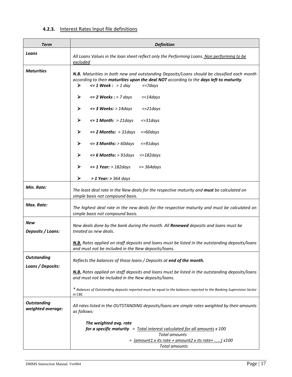# **4.2.3.** Interest Rates Input file definitions

| <b>Term</b>                             | <b>Definition</b>                                                                                                                                                                                                                          |
|-----------------------------------------|--------------------------------------------------------------------------------------------------------------------------------------------------------------------------------------------------------------------------------------------|
| Loans                                   | All Loans Values in the loan sheet reflect only the Performing Loans. Non performing to be<br>excluded                                                                                                                                     |
| <b>Maturities</b>                       | N.B. Maturities in both new and outstanding Deposits/Loans should be classified each month<br>according to their maturities upon the deal NOT according to the days left to maturity.<br>➤<br>$\leq 1$ Week : > 1 day<br>$\epsilon$ =7days |
|                                         | ➤<br>$\leq$ 2 Weeks : > 7 days<br>$\epsilon = 14$ days                                                                                                                                                                                     |
|                                         | ➤<br>$\epsilon$ = 3 Weeks: > 14days<br>$\epsilon = 21$ days                                                                                                                                                                                |
|                                         | ➤<br>$\leq 1$ Month: > 21days<br>$\epsilon = 31$ days                                                                                                                                                                                      |
|                                         | ➤<br>$\epsilon$ = 2 Months: > 31 days<br>$<=60 days$                                                                                                                                                                                       |
|                                         | ➤<br>$\epsilon$ = 3 Months: > 60days<br>$\epsilon = 91$ days                                                                                                                                                                               |
|                                         | $\epsilon$ = 6 Months: > 91 days<br>≻<br>$\epsilon = 182$ days                                                                                                                                                                             |
|                                         | $\epsilon$ = 1 Year: > 182days<br>➤<br>$\epsilon$ = 364 days                                                                                                                                                                               |
|                                         | ➤<br>$> 1$ Year: $> 364$ days                                                                                                                                                                                                              |
| Min. Rate:                              | The least deal rate in the New deals for the respective maturity and <b>must</b> be calculated on<br>simple basis not compound basis.                                                                                                      |
| Max. Rate:                              | The highest deal rate in the new deals for the respective maturity and must be calculated on<br>simple basis not compound basis.                                                                                                           |
| New<br>Deposits / Loans:                | New deals done by the bank during the month. All Renewed deposits and loans must be<br>treated as new deals.                                                                                                                               |
|                                         | N.B. Rates applied on staff deposits and loans must be listed in the outstanding deposits/loans<br>and must not be included in the New deposits/loans.                                                                                     |
| <b>Outstanding</b>                      | Reflects the balances of those loans / Deposits at end of the month.                                                                                                                                                                       |
| Loans / Deposits:                       | N.B. Rates applied on staff deposits and loans must be listed in the outstanding deposits/loans<br>and must not be included in the New deposits/loans.                                                                                     |
|                                         | * Balances of Outstanding deposits reported must be equal to the balances reported to the Banking Supervision Sector<br>in CBE.                                                                                                            |
| <b>Outstanding</b><br>weighted average: | All rates listed in the OUTSTANDING deposits/loans are simple rates weighted by their amounts<br>as follows:                                                                                                                               |
|                                         | The weighted avg. rate<br>for a specific maturity $=$ Total interest calculated for all amounts $x$ 100<br><b>Total amounts</b><br>= <u>(amount1 x its rate + amount2 x its rate+ </u> ) x100<br><b>Total amounts</b>                      |